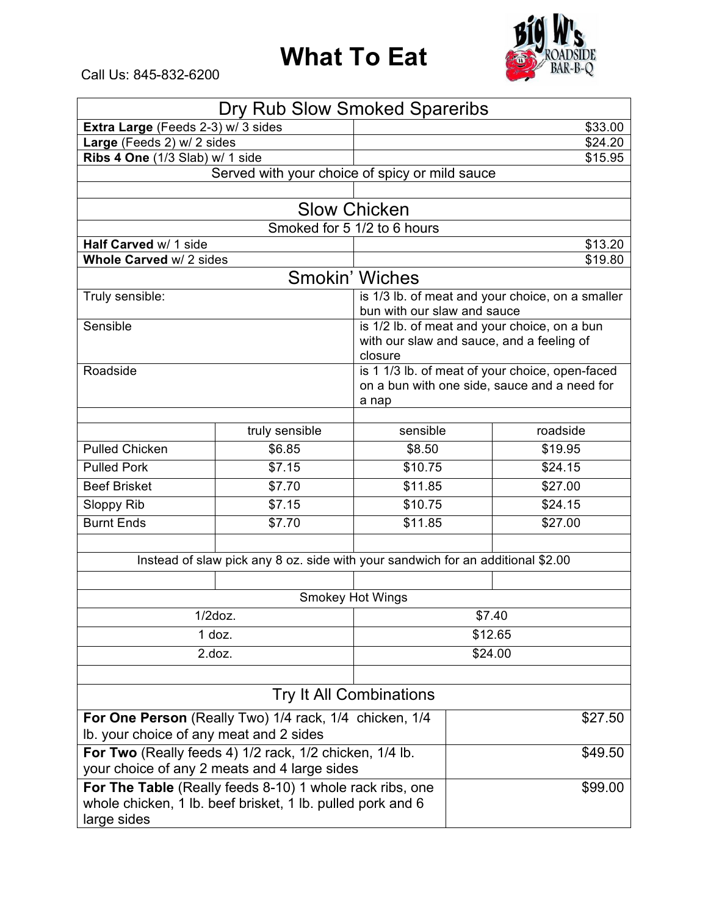## **What To Eat**



Call Us: 845-832-6200

| Dry Rub Slow Smoked Spareribs                              |                                                                                 |                                                 |  |          |  |  |  |  |
|------------------------------------------------------------|---------------------------------------------------------------------------------|-------------------------------------------------|--|----------|--|--|--|--|
| Extra Large (Feeds 2-3) w/ 3 sides                         | \$33.00                                                                         |                                                 |  |          |  |  |  |  |
| Large (Feeds 2) w/ 2 sides                                 | \$24.20                                                                         |                                                 |  |          |  |  |  |  |
| Ribs 4 One (1/3 Slab) w/ 1 side                            | \$15.95                                                                         |                                                 |  |          |  |  |  |  |
| Served with your choice of spicy or mild sauce             |                                                                                 |                                                 |  |          |  |  |  |  |
|                                                            |                                                                                 |                                                 |  |          |  |  |  |  |
| <b>Slow Chicken</b>                                        |                                                                                 |                                                 |  |          |  |  |  |  |
| Smoked for 5 1/2 to 6 hours                                |                                                                                 |                                                 |  |          |  |  |  |  |
| Half Carved w/ 1 side<br>Whole Carved w/ 2 sides           | \$13.20<br>\$19.80                                                              |                                                 |  |          |  |  |  |  |
|                                                            |                                                                                 |                                                 |  |          |  |  |  |  |
|                                                            | <b>Smokin' Wiches</b>                                                           |                                                 |  |          |  |  |  |  |
| Truly sensible:                                            | is 1/3 lb. of meat and your choice, on a smaller<br>bun with our slaw and sauce |                                                 |  |          |  |  |  |  |
| Sensible                                                   | is 1/2 lb. of meat and your choice, on a bun                                    |                                                 |  |          |  |  |  |  |
|                                                            |                                                                                 | with our slaw and sauce, and a feeling of       |  |          |  |  |  |  |
|                                                            |                                                                                 | closure                                         |  |          |  |  |  |  |
| Roadside                                                   |                                                                                 | is 1 1/3 lb. of meat of your choice, open-faced |  |          |  |  |  |  |
|                                                            |                                                                                 | on a bun with one side, sauce and a need for    |  |          |  |  |  |  |
|                                                            |                                                                                 | a nap                                           |  |          |  |  |  |  |
|                                                            | truly sensible                                                                  | sensible                                        |  | roadside |  |  |  |  |
| <b>Pulled Chicken</b>                                      | \$6.85                                                                          | \$8.50                                          |  | \$19.95  |  |  |  |  |
| <b>Pulled Pork</b>                                         | \$7.15                                                                          | \$10.75                                         |  | \$24.15  |  |  |  |  |
| <b>Beef Brisket</b>                                        | \$7.70                                                                          | \$11.85                                         |  | \$27.00  |  |  |  |  |
| Sloppy Rib                                                 | \$7.15                                                                          | \$10.75                                         |  | \$24.15  |  |  |  |  |
| <b>Burnt Ends</b>                                          | \$7.70                                                                          | \$11.85                                         |  | \$27.00  |  |  |  |  |
|                                                            |                                                                                 |                                                 |  |          |  |  |  |  |
|                                                            | Instead of slaw pick any 8 oz. side with your sandwich for an additional \$2.00 |                                                 |  |          |  |  |  |  |
|                                                            |                                                                                 |                                                 |  |          |  |  |  |  |
| <b>Smokey Hot Wings</b>                                    |                                                                                 |                                                 |  |          |  |  |  |  |
| $1/2$ doz.                                                 | \$7.40                                                                          |                                                 |  |          |  |  |  |  |
| $1$ doz.                                                   |                                                                                 | \$12.65                                         |  |          |  |  |  |  |
| 2.docz.                                                    |                                                                                 | \$24.00                                         |  |          |  |  |  |  |
|                                                            |                                                                                 |                                                 |  |          |  |  |  |  |
| <b>Try It All Combinations</b>                             |                                                                                 |                                                 |  |          |  |  |  |  |
| For One Person (Really Two) 1/4 rack, 1/4 chicken, 1/4     |                                                                                 | \$27.50                                         |  |          |  |  |  |  |
| Ib. your choice of any meat and 2 sides                    |                                                                                 |                                                 |  |          |  |  |  |  |
| For Two (Really feeds 4) 1/2 rack, 1/2 chicken, 1/4 lb.    |                                                                                 |                                                 |  | \$49.50  |  |  |  |  |
| your choice of any 2 meats and 4 large sides               |                                                                                 |                                                 |  |          |  |  |  |  |
| For The Table (Really feeds 8-10) 1 whole rack ribs, one   |                                                                                 | \$99.00                                         |  |          |  |  |  |  |
| whole chicken, 1 lb. beef brisket, 1 lb. pulled pork and 6 |                                                                                 |                                                 |  |          |  |  |  |  |
| large sides                                                |                                                                                 |                                                 |  |          |  |  |  |  |